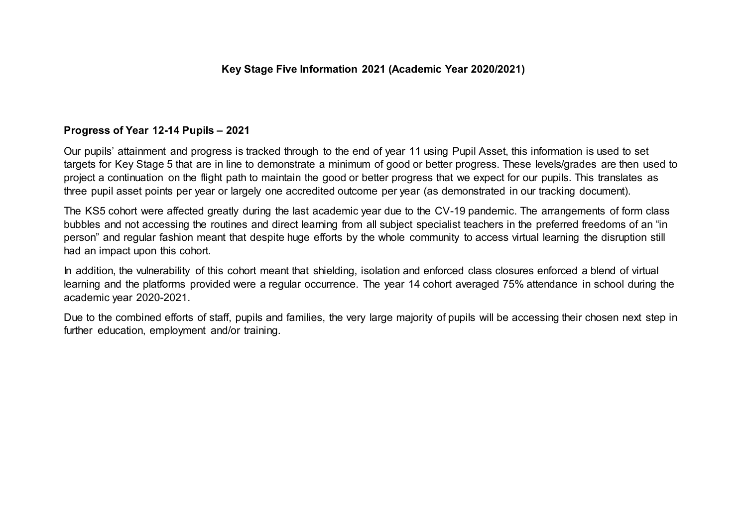#### **Progress of Year 12-14 Pupils – 2021**

Our pupils' attainment and progress is tracked through to the end of year 11 using Pupil Asset, this information is used to set targets for Key Stage 5 that are in line to demonstrate a minimum of good or better progress. These levels/grades are then used to project a continuation on the flight path to maintain the good or better progress that we expect for our pupils. This translates as three pupil asset points per year or largely one accredited outcome per year (as demonstrated in our tracking document).

The KS5 cohort were affected greatly during the last academic year due to the CV-19 pandemic. The arrangements of form class bubbles and not accessing the routines and direct learning from all subject specialist teachers in the preferred freedoms of an "in person" and regular fashion meant that despite huge efforts by the whole community to access virtual learning the disruption still had an impact upon this cohort.

In addition, the vulnerability of this cohort meant that shielding, isolation and enforced class closures enforced a blend of virtual learning and the platforms provided were a regular occurrence. The year 14 cohort averaged 75% attendance in school during the academic year 2020-2021.

Due to the combined efforts of staff, pupils and families, the very large majority of pupils will be accessing their chosen next step in further education, employment and/or training.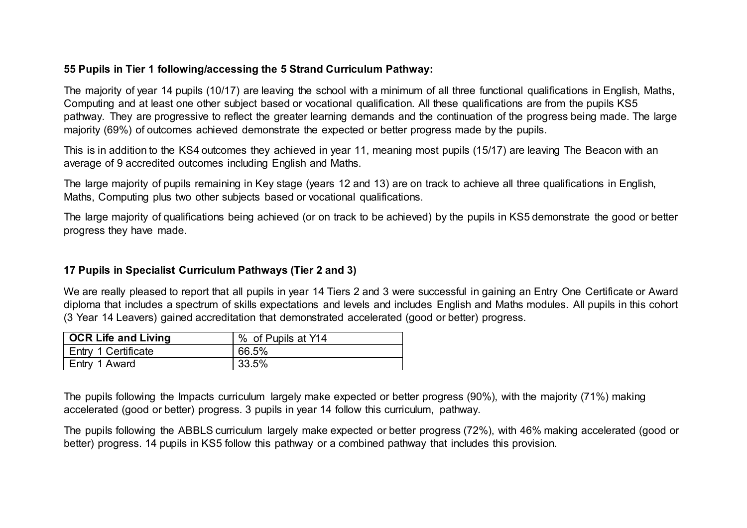# **55 Pupils in Tier 1 following/accessing the 5 Strand Curriculum Pathway:**

The majority of year 14 pupils (10/17) are leaving the school with a minimum of all three functional qualifications in English, Maths, Computing and at least one other subject based or vocational qualification. All these qualifications are from the pupils KS5 pathway. They are progressive to reflect the greater learning demands and the continuation of the progress being made. The large majority (69%) of outcomes achieved demonstrate the expected or better progress made by the pupils.

This is in addition to the KS4 outcomes they achieved in year 11, meaning most pupils (15/17) are leaving The Beacon with an average of 9 accredited outcomes including English and Maths.

The large majority of pupils remaining in Key stage (years 12 and 13) are on track to achieve all three qualifications in English, Maths, Computing plus two other subjects based or vocational qualifications.

The large majority of qualifications being achieved (or on track to be achieved) by the pupils in KS5 demonstrate the good or better progress they have made.

# **17 Pupils in Specialist Curriculum Pathways (Tier 2 and 3)**

We are really pleased to report that all pupils in year 14 Tiers 2 and 3 were successful in gaining an Entry One Certificate or Award diploma that includes a spectrum of skills expectations and levels and includes English and Maths modules. All pupils in this cohort (3 Year 14 Leavers) gained accreditation that demonstrated accelerated (good or better) progress.

| OCR Life and Living | % of Pupils at Y14 |  |  |  |
|---------------------|--------------------|--|--|--|
| Entry 1 Certificate | 66.5%              |  |  |  |
| I Entry 1 Award     | 33.5%              |  |  |  |

The pupils following the Impacts curriculum largely make expected or better progress (90%), with the majority (71%) making accelerated (good or better) progress. 3 pupils in year 14 follow this curriculum, pathway.

The pupils following the ABBLS curriculum largely make expected or better progress (72%), with 46% making accelerated (good or better) progress. 14 pupils in KS5 follow this pathway or a combined pathway that includes this provision.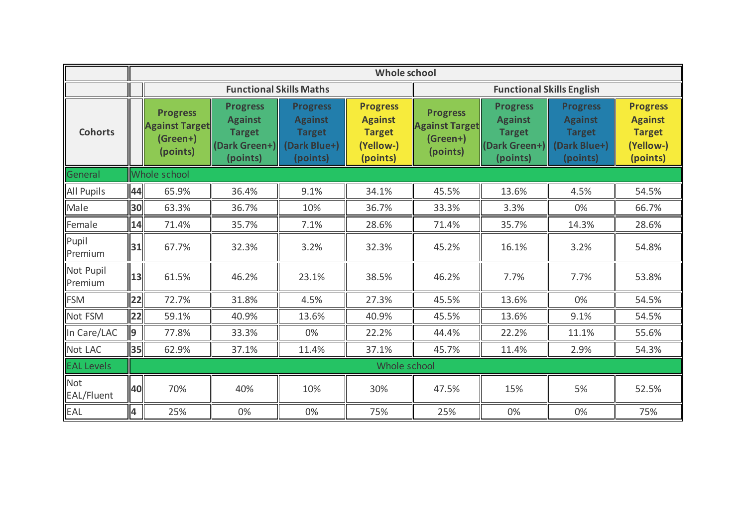|                      |              | Whole school                                                     |                                                                                 |                                                                                |                                                                             |                                                                  |                                                                                 |                                                                                |                                                                             |  |  |
|----------------------|--------------|------------------------------------------------------------------|---------------------------------------------------------------------------------|--------------------------------------------------------------------------------|-----------------------------------------------------------------------------|------------------------------------------------------------------|---------------------------------------------------------------------------------|--------------------------------------------------------------------------------|-----------------------------------------------------------------------------|--|--|
|                      |              |                                                                  | <b>Functional Skills Maths</b>                                                  |                                                                                |                                                                             | <b>Functional Skills English</b>                                 |                                                                                 |                                                                                |                                                                             |  |  |
| <b>Cohorts</b>       |              | <b>Progress</b><br><b>Against Target</b><br>(Green+)<br>(points) | <b>Progress</b><br><b>Against</b><br><b>Target</b><br>(Dark Green+)<br>(points) | <b>Progress</b><br><b>Against</b><br><b>Target</b><br>(Dark Blue+)<br>(points) | <b>Progress</b><br><b>Against</b><br><b>Target</b><br>(Yellow-)<br>(points) | <b>Progress</b><br><b>Against Target</b><br>(Green+)<br>(points) | <b>Progress</b><br><b>Against</b><br><b>Target</b><br>(Dark Green+)<br>(points) | <b>Progress</b><br><b>Against</b><br><b>Target</b><br>(Dark Blue+)<br>(points) | <b>Progress</b><br><b>Against</b><br><b>Target</b><br>(Yellow-)<br>(points) |  |  |
| General              | Whole school |                                                                  |                                                                                 |                                                                                |                                                                             |                                                                  |                                                                                 |                                                                                |                                                                             |  |  |
| <b>All Pupils</b>    | 44           | 65.9%                                                            | 36.4%                                                                           | 9.1%                                                                           | 34.1%                                                                       | 45.5%                                                            | 13.6%                                                                           | 4.5%                                                                           | 54.5%                                                                       |  |  |
| Male                 | 30           | 63.3%                                                            | 36.7%                                                                           | 10%                                                                            | 36.7%                                                                       | 33.3%                                                            | 3.3%                                                                            | 0%                                                                             | 66.7%                                                                       |  |  |
| Female               | 14           | 71.4%                                                            | 35.7%                                                                           | 7.1%                                                                           | 28.6%                                                                       | 71.4%                                                            | 35.7%                                                                           | 14.3%                                                                          | 28.6%                                                                       |  |  |
| Pupil<br>Premium     | 31           | 67.7%                                                            | 32.3%                                                                           | 3.2%                                                                           | 32.3%                                                                       | 45.2%                                                            | 16.1%                                                                           | 3.2%                                                                           | 54.8%                                                                       |  |  |
| Not Pupil<br>Premium | 13           | 61.5%                                                            | 46.2%                                                                           | 23.1%                                                                          | 38.5%                                                                       | 46.2%                                                            | 7.7%                                                                            | 7.7%                                                                           | 53.8%                                                                       |  |  |
| <b>FSM</b>           | 22           | 72.7%                                                            | 31.8%                                                                           | 4.5%                                                                           | 27.3%                                                                       | 45.5%                                                            | 13.6%                                                                           | 0%                                                                             | 54.5%                                                                       |  |  |
| Not FSM              | 22           | 59.1%                                                            | 40.9%                                                                           | 13.6%                                                                          | 40.9%                                                                       | 45.5%                                                            | 13.6%                                                                           | 9.1%                                                                           | 54.5%                                                                       |  |  |
| In Care/LAC          | 9            | 77.8%                                                            | 33.3%                                                                           | 0%                                                                             | 22.2%                                                                       | 44.4%                                                            | 22.2%                                                                           | 11.1%                                                                          | 55.6%                                                                       |  |  |
| Not LAC              | 35           | 62.9%                                                            | 37.1%                                                                           | 11.4%                                                                          | 37.1%                                                                       | 45.7%                                                            | 11.4%                                                                           | 2.9%                                                                           | 54.3%                                                                       |  |  |
| <b>EAL Levels</b>    | Whole school |                                                                  |                                                                                 |                                                                                |                                                                             |                                                                  |                                                                                 |                                                                                |                                                                             |  |  |
| Not<br>EAL/Fluent    | 40           | 70%                                                              | 40%                                                                             | 10%                                                                            | 30%                                                                         | 47.5%                                                            | 15%                                                                             | 5%                                                                             | 52.5%                                                                       |  |  |
| EAL                  | 4            | 25%                                                              | 0%                                                                              | 0%                                                                             | 75%                                                                         | 25%                                                              | 0%                                                                              | 0%                                                                             | 75%                                                                         |  |  |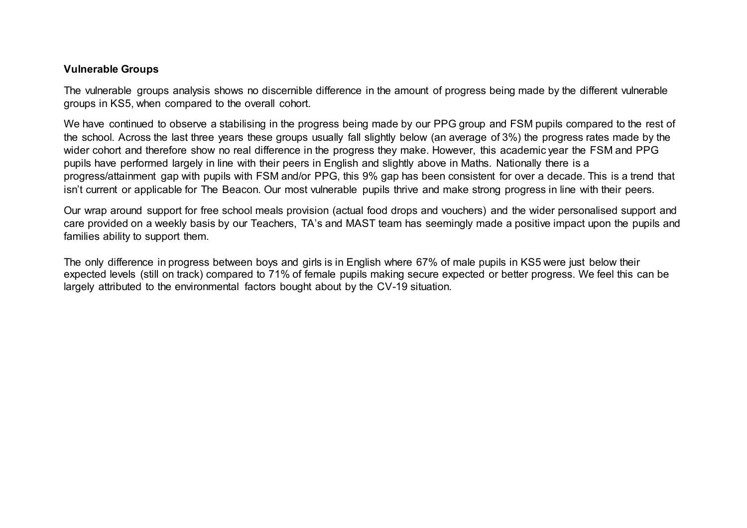#### **Vulnerable Groups**

The vulnerable groups analysis shows no discernible difference in the amount of progress being made by the different vulnerable groups in KS5, when compared to the overall cohort.

We have continued to observe a stabilising in the progress being made by our PPG group and FSM pupils compared to the rest of the school. Across the last three years these groups usually fall slightly below (an average of 3%) the progress rates made by the wider cohort and therefore show no real difference in the progress they make. However, this academic year the FSM and PPG pupils have performed largely in line with their peers in English and slightly above in Maths. Nationally there is a progress/attainment gap with pupils with FSM and/or PPG, this 9% gap has been consistent for over a decade. This is a trend that isn't current or applicable for The Beacon. Our most vulnerable pupils thrive and make strong progress in line with their peers.

Our wrap around support for free school meals provision (actual food drops and vouchers) and the wider personalised support and care provided on a weekly basis by our Teachers, TA's and MAST team has seemingly made a positive impact upon the pupils and families ability to support them.

The only difference in progress between boys and girls is in English where 67% of male pupils in KS5 were just below their expected levels (still on track) compared to 71% of female pupils making secure expected or better progress. We feel this can be largely attributed to the environmental factors bought about by the CV-19 situation.